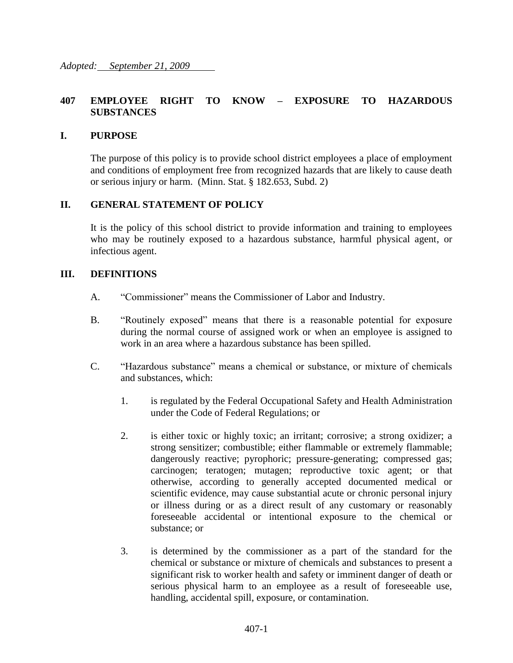## **407 EMPLOYEE RIGHT TO KNOW – EXPOSURE TO HAZARDOUS SUBSTANCES**

#### **I. PURPOSE**

The purpose of this policy is to provide school district employees a place of employment and conditions of employment free from recognized hazards that are likely to cause death or serious injury or harm. (Minn. Stat. § 182.653, Subd. 2)

### **II. GENERAL STATEMENT OF POLICY**

It is the policy of this school district to provide information and training to employees who may be routinely exposed to a hazardous substance, harmful physical agent, or infectious agent.

#### **III. DEFINITIONS**

- A. "Commissioner" means the Commissioner of Labor and Industry.
- B. "Routinely exposed" means that there is a reasonable potential for exposure during the normal course of assigned work or when an employee is assigned to work in an area where a hazardous substance has been spilled.
- C. "Hazardous substance" means a chemical or substance, or mixture of chemicals and substances, which:
	- 1. is regulated by the Federal Occupational Safety and Health Administration under the Code of Federal Regulations; or
	- 2. is either toxic or highly toxic; an irritant; corrosive; a strong oxidizer; a strong sensitizer; combustible; either flammable or extremely flammable; dangerously reactive; pyrophoric; pressure-generating; compressed gas; carcinogen; teratogen; mutagen; reproductive toxic agent; or that otherwise, according to generally accepted documented medical or scientific evidence, may cause substantial acute or chronic personal injury or illness during or as a direct result of any customary or reasonably foreseeable accidental or intentional exposure to the chemical or substance; or
	- 3. is determined by the commissioner as a part of the standard for the chemical or substance or mixture of chemicals and substances to present a significant risk to worker health and safety or imminent danger of death or serious physical harm to an employee as a result of foreseeable use, handling, accidental spill, exposure, or contamination.